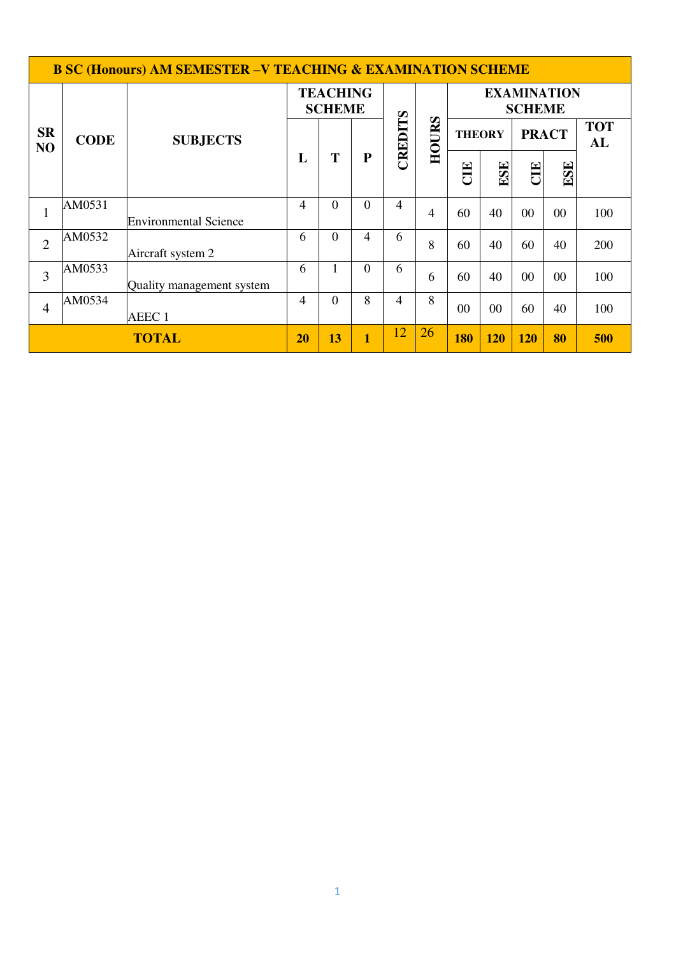|                             | <b>B SC (Honours) AM SEMESTER -V TEACHING &amp; EXAMINATION SCHEME</b> |                              |                                  |          |                         |                |       |                               |                                     |            |                  |     |
|-----------------------------|------------------------------------------------------------------------|------------------------------|----------------------------------|----------|-------------------------|----------------|-------|-------------------------------|-------------------------------------|------------|------------------|-----|
|                             |                                                                        |                              | <b>TEACHING</b><br><b>SCHEME</b> |          |                         |                |       |                               | <b>EXAMINATION</b><br><b>SCHEME</b> |            |                  |     |
| <b>SR</b><br>N <sub>O</sub> | <b>CODE</b>                                                            | <b>SUBJECTS</b>              |                                  |          | ${\bf P}$               | CREDITS        | HOURS | <b>PRACT</b><br><b>THEORY</b> |                                     |            | <b>TOT</b><br>AL |     |
|                             |                                                                        |                              | L                                | T        |                         |                |       | E                             | ESE                                 | ELC        | ESE              |     |
| $\mathbf{1}$                | AM0531                                                                 | <b>Environmental Science</b> | 4                                | $\Omega$ | $\theta$                | 4              | 4     | 60                            | 40                                  | $00\,$     | 00               | 100 |
| $\overline{2}$              | AM0532                                                                 | Aircraft system 2            | 6                                | $\theta$ | 4                       | 6              | 8     | 60                            | 40                                  | 60         | 40               | 200 |
| $\overline{3}$              | AM0533                                                                 | Quality management system    | 6                                |          | $\theta$                | 6              | 6     | 60                            | 40                                  | $00\,$     | 00               | 100 |
| $\overline{4}$              | AM0534                                                                 | AEEC <sub>1</sub>            | 4                                | $\Omega$ | 8                       | $\overline{4}$ | 8     | 00                            | 00                                  | 60         | 40               | 100 |
| <b>TOTAL</b>                |                                                                        |                              |                                  | 13       | $\overline{\mathbf{1}}$ | 12             | 26    | <b>180</b>                    | 120                                 | <b>120</b> | 80               | 500 |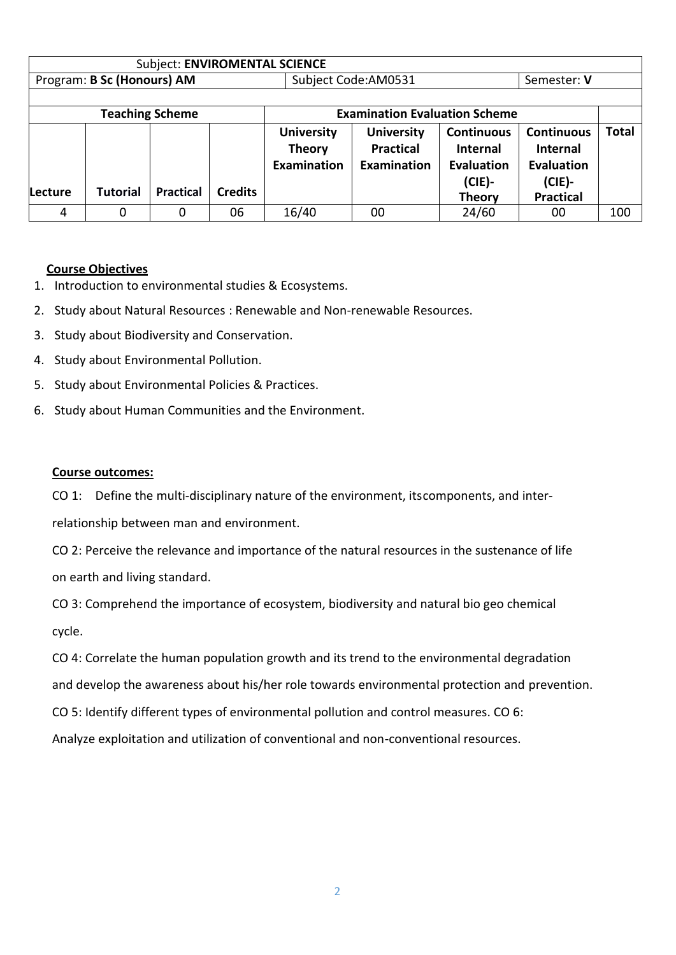|         | <b>Subject: ENVIROMENTAL SCIENCE</b> |                        |                |                                                          |                                                             |                                                                                         |                                                                                     |              |
|---------|--------------------------------------|------------------------|----------------|----------------------------------------------------------|-------------------------------------------------------------|-----------------------------------------------------------------------------------------|-------------------------------------------------------------------------------------|--------------|
|         | Program: B Sc (Honours) AM           |                        |                |                                                          | Subject Code:AM0531                                         |                                                                                         | Semester: V                                                                         |              |
|         |                                      |                        |                |                                                          |                                                             |                                                                                         |                                                                                     |              |
|         |                                      | <b>Teaching Scheme</b> |                |                                                          | <b>Examination Evaluation Scheme</b>                        |                                                                                         |                                                                                     |              |
| Lecture | <b>Tutorial</b>                      | <b>Practical</b>       | <b>Credits</b> | <b>University</b><br><b>Theory</b><br><b>Examination</b> | <b>University</b><br><b>Practical</b><br><b>Examination</b> | <b>Continuous</b><br><b>Internal</b><br><b>Evaluation</b><br>$(CIE)$ -<br><b>Theory</b> | <b>Continuous</b><br><b>Internal</b><br>Evaluation<br>$(CIE)$ -<br><b>Practical</b> | <b>Total</b> |
| 4       | 0                                    | 0                      | 06             | 16/40                                                    | 00                                                          | 24/60                                                                                   | 00                                                                                  | 100          |

### **Course Objectives**

- 1. Introduction to environmental studies & Ecosystems.
- 2. Study about Natural Resources : Renewable and Non-renewable Resources.
- 3. Study about Biodiversity and Conservation.
- 4. Study about Environmental Pollution.
- 5. Study about Environmental Policies & Practices.
- 6. Study about Human Communities and the Environment.

#### **Course outcomes:**

CO 1: Define the multi-disciplinary nature of the environment, its components, and interrelationship between man and environment.

CO 2: Perceive the relevance and importance of the natural resources in the sustenance of life on earth and living standard.

CO 3: Comprehend the importance of ecosystem, biodiversity and natural bio geo chemical cycle.

CO 4: Correlate the human population growth and its trend to the environmental degradation and develop the awareness about his/her role towards environmental protection and prevention. CO 5: Identify different types of environmental pollution and control measures. CO 6: Analyze exploitation and utilization of conventional and non-conventional resources.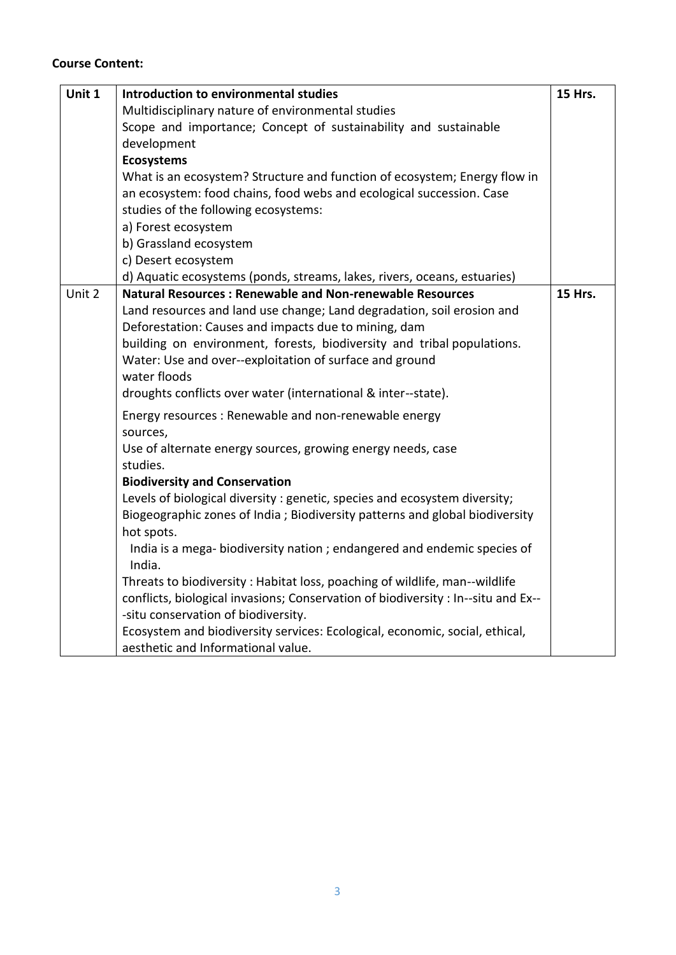# **Course Content:**

| Unit 1 | Introduction to environmental studies                                             | <b>15 Hrs.</b> |
|--------|-----------------------------------------------------------------------------------|----------------|
|        | Multidisciplinary nature of environmental studies                                 |                |
|        | Scope and importance; Concept of sustainability and sustainable                   |                |
|        | development                                                                       |                |
|        | <b>Ecosystems</b>                                                                 |                |
|        | What is an ecosystem? Structure and function of ecosystem; Energy flow in         |                |
|        | an ecosystem: food chains, food webs and ecological succession. Case              |                |
|        | studies of the following ecosystems:                                              |                |
|        | a) Forest ecosystem                                                               |                |
|        | b) Grassland ecosystem                                                            |                |
|        | c) Desert ecosystem                                                               |                |
|        | d) Aquatic ecosystems (ponds, streams, lakes, rivers, oceans, estuaries)          |                |
| Unit 2 | <b>Natural Resources: Renewable and Non-renewable Resources</b>                   | <b>15 Hrs.</b> |
|        | Land resources and land use change; Land degradation, soil erosion and            |                |
|        | Deforestation: Causes and impacts due to mining, dam                              |                |
|        | building on environment, forests, biodiversity and tribal populations.            |                |
|        | Water: Use and over--exploitation of surface and ground                           |                |
|        | water floods                                                                      |                |
|        | droughts conflicts over water (international & inter--state).                     |                |
|        | Energy resources: Renewable and non-renewable energy                              |                |
|        | sources,                                                                          |                |
|        | Use of alternate energy sources, growing energy needs, case                       |                |
|        | studies.                                                                          |                |
|        | <b>Biodiversity and Conservation</b>                                              |                |
|        | Levels of biological diversity : genetic, species and ecosystem diversity;        |                |
|        | Biogeographic zones of India; Biodiversity patterns and global biodiversity       |                |
|        | hot spots.                                                                        |                |
|        | India is a mega-biodiversity nation; endangered and endemic species of            |                |
|        | India.                                                                            |                |
|        | Threats to biodiversity: Habitat loss, poaching of wildlife, man--wildlife        |                |
|        | conflicts, biological invasions; Conservation of biodiversity : In--situ and Ex-- |                |
|        | -situ conservation of biodiversity.                                               |                |
|        | Ecosystem and biodiversity services: Ecological, economic, social, ethical,       |                |
|        | aesthetic and Informational value.                                                |                |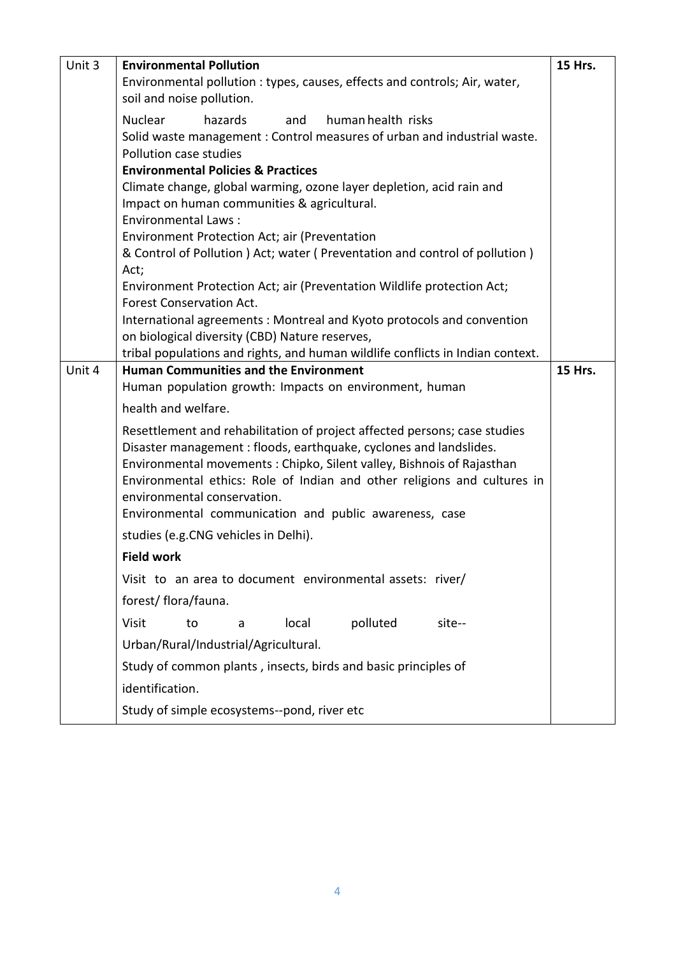| Unit 3 | <b>Environmental Pollution</b>                                                                                                             | 15 Hrs.        |  |  |  |  |  |  |
|--------|--------------------------------------------------------------------------------------------------------------------------------------------|----------------|--|--|--|--|--|--|
|        | Environmental pollution : types, causes, effects and controls; Air, water,                                                                 |                |  |  |  |  |  |  |
|        | soil and noise pollution.                                                                                                                  |                |  |  |  |  |  |  |
|        | <b>Nuclear</b><br>hazards<br>human health risks<br>and                                                                                     |                |  |  |  |  |  |  |
|        | Solid waste management: Control measures of urban and industrial waste.                                                                    |                |  |  |  |  |  |  |
|        | Pollution case studies                                                                                                                     |                |  |  |  |  |  |  |
|        | <b>Environmental Policies &amp; Practices</b><br>Climate change, global warming, ozone layer depletion, acid rain and                      |                |  |  |  |  |  |  |
|        | Impact on human communities & agricultural.                                                                                                |                |  |  |  |  |  |  |
|        | <b>Environmental Laws:</b>                                                                                                                 |                |  |  |  |  |  |  |
|        | Environment Protection Act; air (Preventation                                                                                              |                |  |  |  |  |  |  |
|        | & Control of Pollution ) Act; water (Preventation and control of pollution)                                                                |                |  |  |  |  |  |  |
|        | Act;                                                                                                                                       |                |  |  |  |  |  |  |
|        | Environment Protection Act; air (Preventation Wildlife protection Act;<br><b>Forest Conservation Act.</b>                                  |                |  |  |  |  |  |  |
|        | International agreements: Montreal and Kyoto protocols and convention                                                                      |                |  |  |  |  |  |  |
|        | on biological diversity (CBD) Nature reserves,                                                                                             |                |  |  |  |  |  |  |
|        | tribal populations and rights, and human wildlife conflicts in Indian context.                                                             | <b>15 Hrs.</b> |  |  |  |  |  |  |
| Unit 4 | <b>Human Communities and the Environment</b>                                                                                               |                |  |  |  |  |  |  |
|        | Human population growth: Impacts on environment, human                                                                                     |                |  |  |  |  |  |  |
|        | health and welfare.                                                                                                                        |                |  |  |  |  |  |  |
|        | Resettlement and rehabilitation of project affected persons; case studies                                                                  |                |  |  |  |  |  |  |
|        | Disaster management: floods, earthquake, cyclones and landslides.<br>Environmental movements: Chipko, Silent valley, Bishnois of Rajasthan |                |  |  |  |  |  |  |
|        | Environmental ethics: Role of Indian and other religions and cultures in                                                                   |                |  |  |  |  |  |  |
|        | environmental conservation.                                                                                                                |                |  |  |  |  |  |  |
|        | Environmental communication and public awareness, case                                                                                     |                |  |  |  |  |  |  |
|        | studies (e.g.CNG vehicles in Delhi).                                                                                                       |                |  |  |  |  |  |  |
|        | <b>Field work</b>                                                                                                                          |                |  |  |  |  |  |  |
|        | Visit to an area to document environmental assets: river/                                                                                  |                |  |  |  |  |  |  |
|        | forest/ flora/fauna.                                                                                                                       |                |  |  |  |  |  |  |
|        | polluted<br><b>Visit</b><br>local<br>to<br>site--<br>a                                                                                     |                |  |  |  |  |  |  |
|        | Urban/Rural/Industrial/Agricultural.                                                                                                       |                |  |  |  |  |  |  |
|        | Study of common plants, insects, birds and basic principles of                                                                             |                |  |  |  |  |  |  |
|        | identification.                                                                                                                            |                |  |  |  |  |  |  |
|        | Study of simple ecosystems--pond, river etc                                                                                                |                |  |  |  |  |  |  |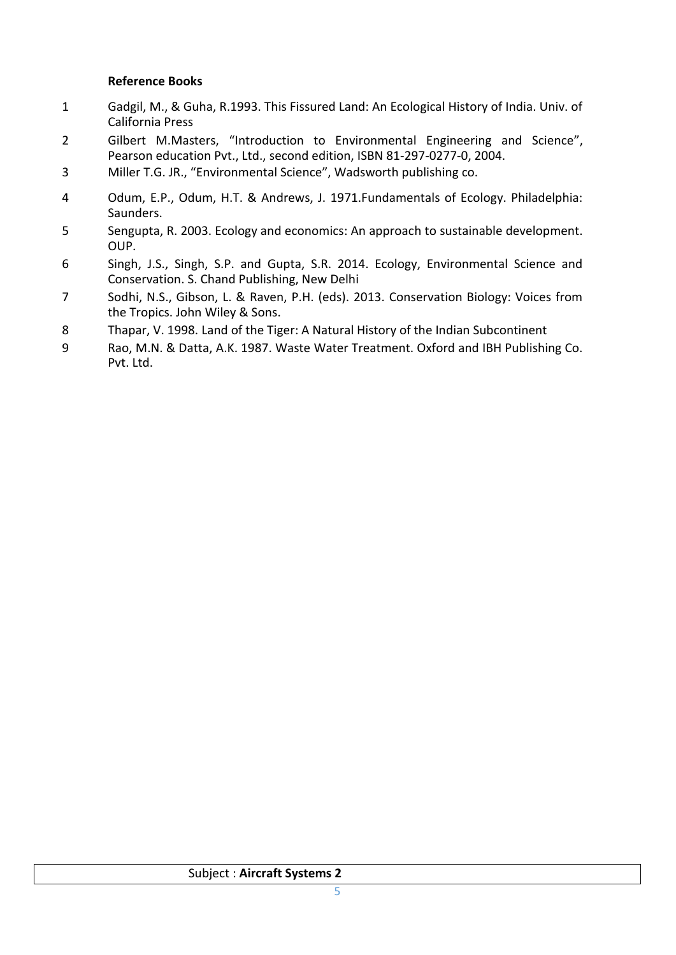### **Reference Books**

- 1 Gadgil, M., & Guha, R.1993. This Fissured Land: An Ecological History of India. Univ. of California Press
- 2 Gilbert M.Masters, "Introduction to Environmental Engineering and Science", Pearson education Pvt., Ltd., second edition, ISBN 81-297-0277-0, 2004.
- 3 Miller T.G. JR., "Environmental Science", Wadsworth publishing co.
- 4 Odum, E.P., Odum, H.T. & Andrews, J. 1971.Fundamentals of Ecology. Philadelphia: Saunders.
- 5 Sengupta, R. 2003. Ecology and economics: An approach to sustainable development. OUP.
- 6 Singh, J.S., Singh, S.P. and Gupta, S.R. 2014. Ecology, Environmental Science and Conservation. S. Chand Publishing, New Delhi
- 7 Sodhi, N.S., Gibson, L. & Raven, P.H. (eds). 2013. Conservation Biology: Voices from the Tropics. John Wiley & Sons.
- 8 Thapar, V. 1998. Land of the Tiger: A Natural History of the Indian Subcontinent
- 9 Rao, M.N. & Datta, A.K. 1987. Waste Water Treatment. Oxford and IBH Publishing Co. Pvt. Ltd.

## Subject : **Aircraft Systems 2**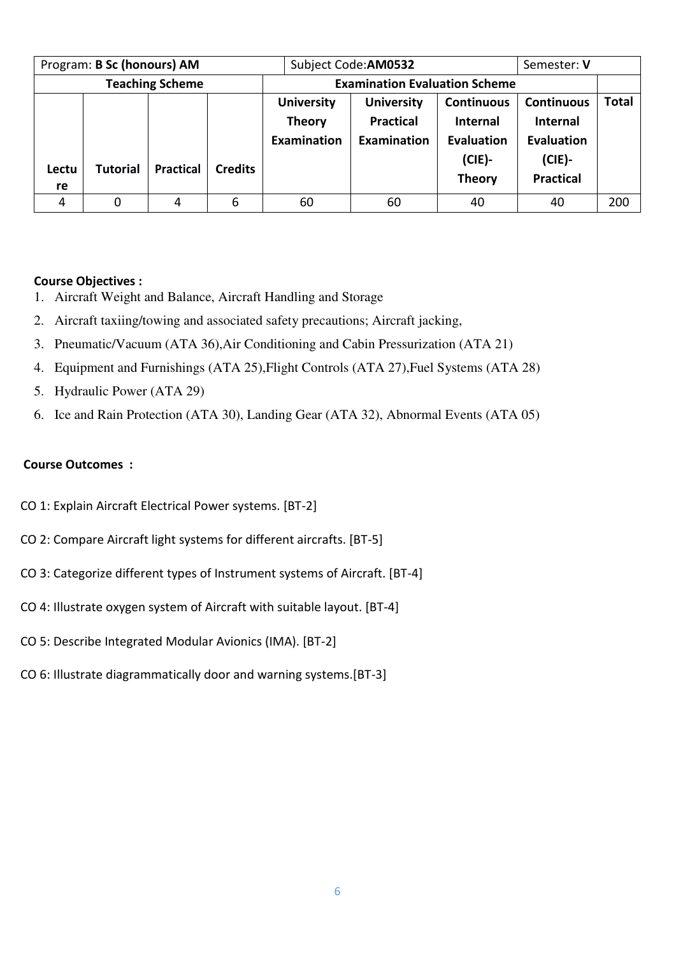| Program: B Sc (honours) AM |                 |                  |                | Subject Code: AM0532 | Semester: V                          |                   |                   |              |
|----------------------------|-----------------|------------------|----------------|----------------------|--------------------------------------|-------------------|-------------------|--------------|
| <b>Teaching Scheme</b>     |                 |                  |                |                      | <b>Examination Evaluation Scheme</b> |                   |                   |              |
|                            |                 |                  |                | <b>University</b>    | <b>University</b>                    | <b>Continuous</b> | <b>Continuous</b> | <b>Total</b> |
|                            |                 |                  |                | <b>Theory</b>        | <b>Practical</b>                     | <b>Internal</b>   | <b>Internal</b>   |              |
|                            |                 |                  |                | Examination          | Examination                          | Evaluation        | <b>Evaluation</b> |              |
|                            | <b>Tutorial</b> | <b>Practical</b> | <b>Credits</b> |                      |                                      | $(CIE)$ -         | $(CIE)$ -         |              |
| Lectu                      |                 |                  |                |                      |                                      | <b>Theory</b>     | <b>Practical</b>  |              |
| re                         |                 |                  |                |                      |                                      |                   |                   |              |
| 4                          | 0               | 4                | 6              | 60                   | 60                                   | 40                | 40                | 200          |

### **Course Objectives :**

- 1. Aircraft Weight and Balance, Aircraft Handling and Storage
- 2. Aircraft taxiing/towing and associated safety precautions; Aircraft jacking,
- 3. Pneumatic/Vacuum (ATA 36),Air Conditioning and Cabin Pressurization (ATA 21)
- 4. Equipment and Furnishings (ATA 25),Flight Controls (ATA 27),Fuel Systems (ATA 28)
- 5. Hydraulic Power (ATA 29)
- 6. Ice and Rain Protection (ATA 30), Landing Gear (ATA 32), Abnormal Events (ATA 05)

### **Course Outcomes :**

- CO 1: Explain Aircraft Electrical Power systems. [BT-2]
- CO 2: Compare Aircraft light systems for different aircrafts. [BT-5]
- CO 3: Categorize different types of Instrument systems of Aircraft. [BT-4]
- CO 4: Illustrate oxygen system of Aircraft with suitable layout. [BT-4]
- CO 5: Describe Integrated Modular Avionics (IMA). [BT-2]
- CO 6: Illustrate diagrammatically door and warning systems.[BT-3]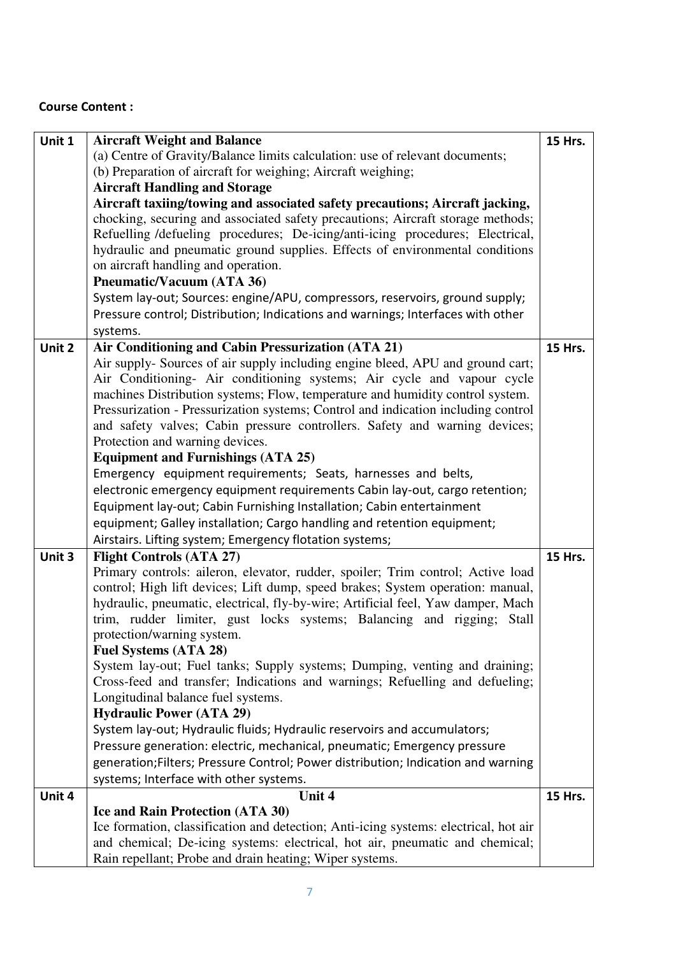# **Course Content :**

| Unit 1 | <b>Aircraft Weight and Balance</b>                                                   | <b>15 Hrs.</b> |
|--------|--------------------------------------------------------------------------------------|----------------|
|        | (a) Centre of Gravity/Balance limits calculation: use of relevant documents;         |                |
|        | (b) Preparation of aircraft for weighing; Aircraft weighing;                         |                |
|        | <b>Aircraft Handling and Storage</b>                                                 |                |
|        | Aircraft taxiing/towing and associated safety precautions; Aircraft jacking,         |                |
|        | chocking, securing and associated safety precautions; Aircraft storage methods;      |                |
|        | Refuelling /defueling procedures; De-icing/anti-icing procedures; Electrical,        |                |
|        | hydraulic and pneumatic ground supplies. Effects of environmental conditions         |                |
|        | on aircraft handling and operation.                                                  |                |
|        | Pneumatic/Vacuum (ATA 36)                                                            |                |
|        | System lay-out; Sources: engine/APU, compressors, reservoirs, ground supply;         |                |
|        | Pressure control; Distribution; Indications and warnings; Interfaces with other      |                |
|        | systems.                                                                             |                |
| Unit 2 | Air Conditioning and Cabin Pressurization (ATA 21)                                   | <b>15 Hrs.</b> |
|        | Air supply-Sources of air supply including engine bleed, APU and ground cart;        |                |
|        | Air Conditioning- Air conditioning systems; Air cycle and vapour cycle               |                |
|        | machines Distribution systems; Flow, temperature and humidity control system.        |                |
|        | Pressurization - Pressurization systems; Control and indication including control    |                |
|        | and safety valves; Cabin pressure controllers. Safety and warning devices;           |                |
|        | Protection and warning devices.                                                      |                |
|        | <b>Equipment and Furnishings (ATA 25)</b>                                            |                |
|        | Emergency equipment requirements; Seats, harnesses and belts,                        |                |
|        | electronic emergency equipment requirements Cabin lay-out, cargo retention;          |                |
|        | Equipment lay-out; Cabin Furnishing Installation; Cabin entertainment                |                |
|        | equipment; Galley installation; Cargo handling and retention equipment;              |                |
|        | Airstairs. Lifting system; Emergency flotation systems;                              |                |
| Unit 3 | <b>Flight Controls (ATA 27)</b>                                                      | <b>15 Hrs.</b> |
|        | Primary controls: aileron, elevator, rudder, spoiler; Trim control; Active load      |                |
|        | control; High lift devices; Lift dump, speed brakes; System operation: manual,       |                |
|        | hydraulic, pneumatic, electrical, fly-by-wire; Artificial feel, Yaw damper, Mach     |                |
|        | trim, rudder limiter, gust locks systems; Balancing and rigging; Stall               |                |
|        | protection/warning system.                                                           |                |
|        | <b>Fuel Systems (ATA 28)</b>                                                         |                |
|        | System lay-out; Fuel tanks; Supply systems; Dumping, venting and draining;           |                |
|        | Cross-feed and transfer; Indications and warnings; Refuelling and defueling;         |                |
|        | Longitudinal balance fuel systems.                                                   |                |
|        | <b>Hydraulic Power (ATA 29)</b>                                                      |                |
|        | System lay-out; Hydraulic fluids; Hydraulic reservoirs and accumulators;             |                |
|        | Pressure generation: electric, mechanical, pneumatic; Emergency pressure             |                |
|        | generation; Filters; Pressure Control; Power distribution; Indication and warning    |                |
|        | systems; Interface with other systems.                                               |                |
| Unit 4 | Unit 4                                                                               | 15 Hrs.        |
|        | <b>Ice and Rain Protection (ATA 30)</b>                                              |                |
|        | Ice formation, classification and detection; Anti-icing systems: electrical, hot air |                |
|        | and chemical; De-icing systems: electrical, hot air, pneumatic and chemical;         |                |
|        | Rain repellant; Probe and drain heating; Wiper systems.                              |                |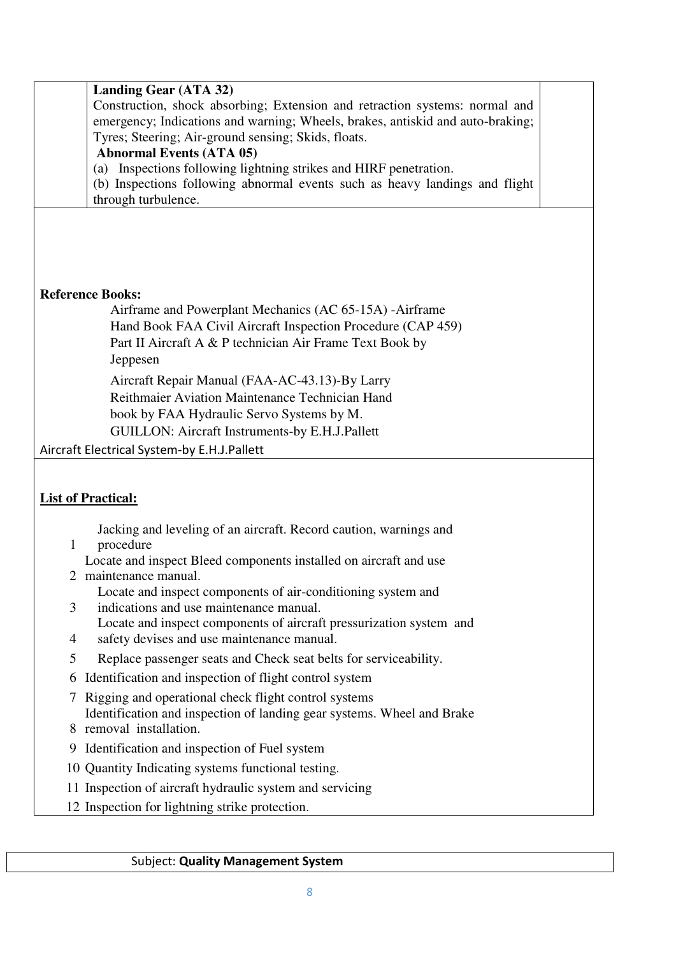|                           | <b>Landing Gear (ATA 32)</b><br>Construction, shock absorbing; Extension and retraction systems: normal and<br>emergency; Indications and warning; Wheels, brakes, antiskid and auto-braking;<br>Tyres; Steering; Air-ground sensing; Skids, floats.<br><b>Abnormal Events (ATA 05)</b><br>(a) Inspections following lightning strikes and HIRF penetration.<br>(b) Inspections following abnormal events such as heavy landings and flight<br>through turbulence. |
|---------------------------|--------------------------------------------------------------------------------------------------------------------------------------------------------------------------------------------------------------------------------------------------------------------------------------------------------------------------------------------------------------------------------------------------------------------------------------------------------------------|
|                           |                                                                                                                                                                                                                                                                                                                                                                                                                                                                    |
| <b>Reference Books:</b>   |                                                                                                                                                                                                                                                                                                                                                                                                                                                                    |
|                           | Airframe and Powerplant Mechanics (AC 65-15A) - Airframe                                                                                                                                                                                                                                                                                                                                                                                                           |
|                           | Hand Book FAA Civil Aircraft Inspection Procedure (CAP 459)                                                                                                                                                                                                                                                                                                                                                                                                        |
|                           | Part II Aircraft A & P technician Air Frame Text Book by                                                                                                                                                                                                                                                                                                                                                                                                           |
|                           | Jeppesen                                                                                                                                                                                                                                                                                                                                                                                                                                                           |
|                           | Aircraft Repair Manual (FAA-AC-43.13)-By Larry                                                                                                                                                                                                                                                                                                                                                                                                                     |
|                           | Reithmaier Aviation Maintenance Technician Hand                                                                                                                                                                                                                                                                                                                                                                                                                    |
|                           | book by FAA Hydraulic Servo Systems by M.                                                                                                                                                                                                                                                                                                                                                                                                                          |
|                           | GUILLON: Aircraft Instruments-by E.H.J.Pallett                                                                                                                                                                                                                                                                                                                                                                                                                     |
|                           | Aircraft Electrical System-by E.H.J.Pallett                                                                                                                                                                                                                                                                                                                                                                                                                        |
|                           |                                                                                                                                                                                                                                                                                                                                                                                                                                                                    |
|                           |                                                                                                                                                                                                                                                                                                                                                                                                                                                                    |
| <b>List of Practical:</b> |                                                                                                                                                                                                                                                                                                                                                                                                                                                                    |
|                           | Jacking and leveling of an aircraft. Record caution, warnings and                                                                                                                                                                                                                                                                                                                                                                                                  |
| 1                         | procedure                                                                                                                                                                                                                                                                                                                                                                                                                                                          |
|                           | Locate and inspect Bleed components installed on aircraft and use                                                                                                                                                                                                                                                                                                                                                                                                  |
|                           | 2 maintenance manual.                                                                                                                                                                                                                                                                                                                                                                                                                                              |
| 3                         | Locate and inspect components of air-conditioning system and<br>indications and use maintenance manual.                                                                                                                                                                                                                                                                                                                                                            |
|                           | Locate and inspect components of aircraft pressurization system and                                                                                                                                                                                                                                                                                                                                                                                                |
| 4                         | safety devises and use maintenance manual.                                                                                                                                                                                                                                                                                                                                                                                                                         |
| 5                         | Replace passenger seats and Check seat belts for serviceability.                                                                                                                                                                                                                                                                                                                                                                                                   |
| 6                         | Identification and inspection of flight control system                                                                                                                                                                                                                                                                                                                                                                                                             |
|                           | Rigging and operational check flight control systems                                                                                                                                                                                                                                                                                                                                                                                                               |
|                           | Identification and inspection of landing gear systems. Wheel and Brake                                                                                                                                                                                                                                                                                                                                                                                             |
| 8                         | removal installation.                                                                                                                                                                                                                                                                                                                                                                                                                                              |
| 9                         | Identification and inspection of Fuel system                                                                                                                                                                                                                                                                                                                                                                                                                       |
|                           | 10 Quantity Indicating systems functional testing.                                                                                                                                                                                                                                                                                                                                                                                                                 |
|                           | 11 Inspection of aircraft hydraulic system and servicing                                                                                                                                                                                                                                                                                                                                                                                                           |
|                           | 12 Inspection for lightning strike protection.                                                                                                                                                                                                                                                                                                                                                                                                                     |
|                           |                                                                                                                                                                                                                                                                                                                                                                                                                                                                    |

Subject: **Quality Management System**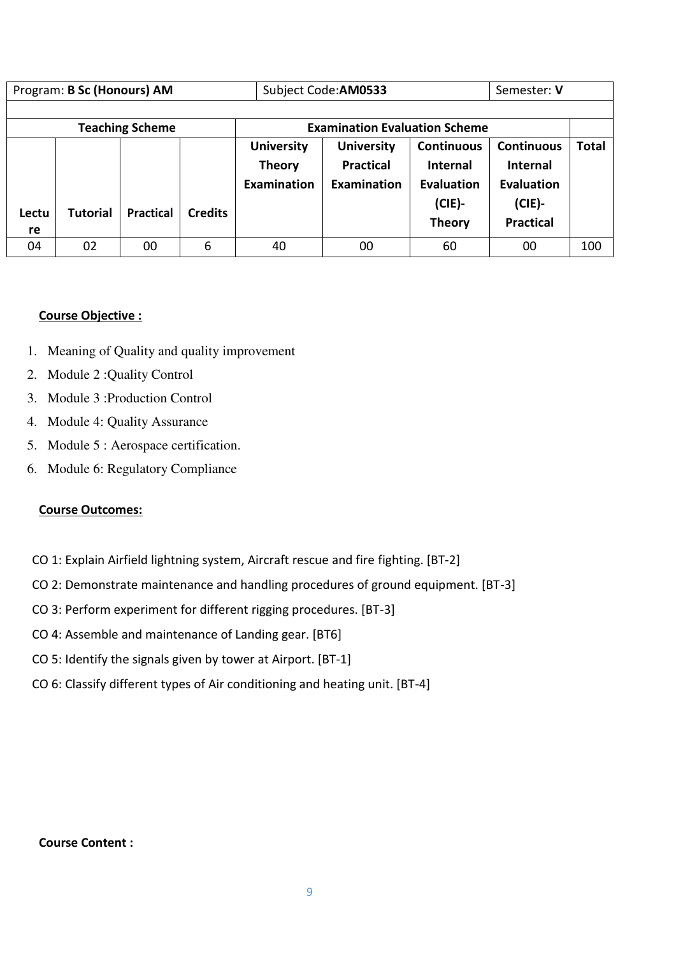| Program: B Sc (Honours) AM |          |                        | Subject Code: AM0533 | Semester: V                                              |                                                      |                                                                                  |                                                                                     |              |  |
|----------------------------|----------|------------------------|----------------------|----------------------------------------------------------|------------------------------------------------------|----------------------------------------------------------------------------------|-------------------------------------------------------------------------------------|--------------|--|
|                            |          |                        |                      |                                                          |                                                      |                                                                                  |                                                                                     |              |  |
|                            |          | <b>Teaching Scheme</b> |                      |                                                          | <b>Examination Evaluation Scheme</b>                 |                                                                                  |                                                                                     |              |  |
| Lectu<br>re                | Tutorial | <b>Practical</b>       | <b>Credits</b>       | <b>University</b><br><b>Theory</b><br><b>Examination</b> | <b>University</b><br><b>Practical</b><br>Examination | <b>Continuous</b><br><b>Internal</b><br>Evaluation<br>$(CIE)$ -<br><b>Theory</b> | <b>Continuous</b><br><b>Internal</b><br>Evaluation<br>$(CIE)$ -<br><b>Practical</b> | <b>Total</b> |  |
| 04                         | 02       | 00                     | 6                    | 40                                                       | 00                                                   | 60                                                                               | 00                                                                                  | 100          |  |

### **Course Objective :**

- 1. Meaning of Quality and quality improvement
- 2. Module 2 :Quality Control
- 3. Module 3 :Production Control
- 4. Module 4: Quality Assurance
- 5. Module 5 : Aerospace certification.
- 6. Module 6: Regulatory Compliance

### **Course Outcomes:**

- CO 1: Explain Airfield lightning system, Aircraft rescue and fire fighting. [BT-2]
- CO 2: Demonstrate maintenance and handling procedures of ground equipment. [BT-3]
- CO 3: Perform experiment for different rigging procedures. [BT-3]
- CO 4: Assemble and maintenance of Landing gear. [BT6]
- CO 5: Identify the signals given by tower at Airport. [BT-1]
- CO 6: Classify different types of Air conditioning and heating unit. [BT-4]

# **Course Content :**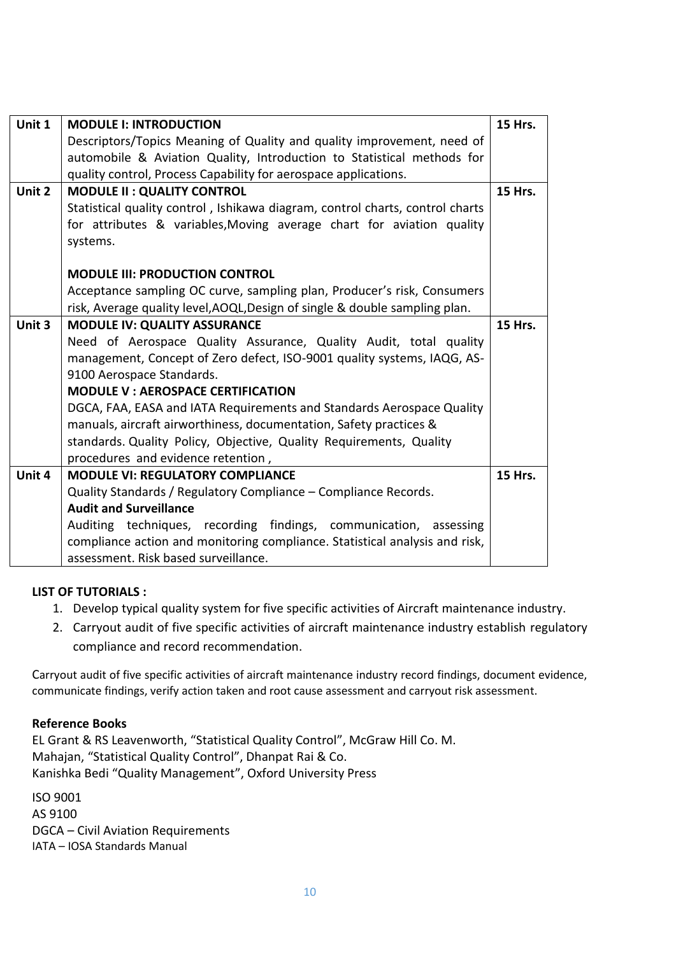| Unit 1 | <b>MODULE I: INTRODUCTION</b>                                                 | <b>15 Hrs.</b> |
|--------|-------------------------------------------------------------------------------|----------------|
|        |                                                                               |                |
|        | Descriptors/Topics Meaning of Quality and quality improvement, need of        |                |
|        | automobile & Aviation Quality, Introduction to Statistical methods for        |                |
|        | quality control, Process Capability for aerospace applications.               |                |
| Unit 2 | <b>MODULE II: QUALITY CONTROL</b>                                             | <b>15 Hrs.</b> |
|        | Statistical quality control, Ishikawa diagram, control charts, control charts |                |
|        | for attributes & variables, Moving average chart for aviation quality         |                |
|        | systems.                                                                      |                |
|        |                                                                               |                |
|        | <b>MODULE III: PRODUCTION CONTROL</b>                                         |                |
|        | Acceptance sampling OC curve, sampling plan, Producer's risk, Consumers       |                |
|        | risk, Average quality level, AOQL, Design of single & double sampling plan.   |                |
| Unit 3 | <b>MODULE IV: QUALITY ASSURANCE</b>                                           | <b>15 Hrs.</b> |
|        | Need of Aerospace Quality Assurance, Quality Audit, total quality             |                |
|        | management, Concept of Zero defect, ISO-9001 quality systems, IAQG, AS-       |                |
|        | 9100 Aerospace Standards.                                                     |                |
|        | <b>MODULE V: AEROSPACE CERTIFICATION</b>                                      |                |
|        |                                                                               |                |
|        | DGCA, FAA, EASA and IATA Requirements and Standards Aerospace Quality         |                |
|        | manuals, aircraft airworthiness, documentation, Safety practices &            |                |
|        | standards. Quality Policy, Objective, Quality Requirements, Quality           |                |
|        | procedures and evidence retention,                                            |                |
| Unit 4 | <b>MODULE VI: REGULATORY COMPLIANCE</b>                                       | <b>15 Hrs.</b> |
|        | Quality Standards / Regulatory Compliance - Compliance Records.               |                |
|        | <b>Audit and Surveillance</b>                                                 |                |
|        | Auditing techniques, recording findings, communication, assessing             |                |
|        | compliance action and monitoring compliance. Statistical analysis and risk,   |                |
|        | assessment. Risk based surveillance.                                          |                |

## **LIST OF TUTORIALS :**

- 1. Develop typical quality system for five specific activities of Aircraft maintenance industry.
- 2. Carryout audit of five specific activities of aircraft maintenance industry establish regulatory compliance and record recommendation.

Carryout audit of five specific activities of aircraft maintenance industry record findings, document evidence, communicate findings, verify action taken and root cause assessment and carryout risk assessment.

# **Reference Books**

EL Grant & RS Leavenworth, "Statistical Quality Control", McGraw Hill Co. M. Mahajan, "Statistical Quality Control", Dhanpat Rai & Co. Kanishka Bedi "Quality Management", Oxford University Press

ISO 9001 AS 9100 DGCA – Civil Aviation Requirements IATA – IOSA Standards Manual